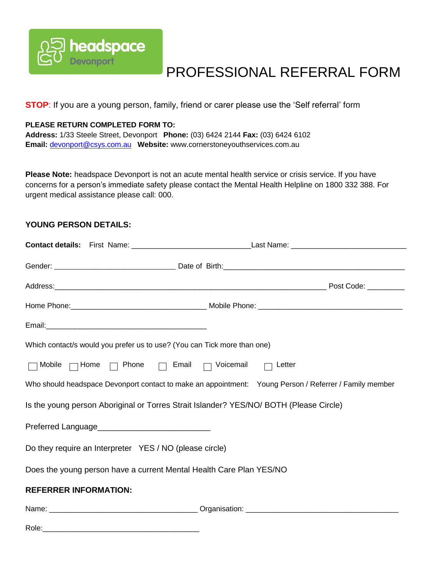

# PROFESSIONAL REFERRAL FORM

**STOP**: If you are a young person, family, friend or carer please use the 'Self referral' form

### **PLEASE RETURN COMPLETED FORM TO:**

**Address:** 1/33 Steele Street, Devonport **Phone:** (03) 6424 2144 **Fax:** (03) 6424 6102 **Email:** [devonport@csys.com.au](mailto:devonport@csys.com.au) **Website:** www.cornerstoneyouthservices.com.au

**Please Note:** headspace Devonport is not an acute mental health service or crisis service. If you have concerns for a person's immediate safety please contact the Mental Health Helpline on 1800 332 388. For urgent medical assistance please call: 000.

#### **YOUNG PERSON DETAILS:**

| Which contact/s would you prefer us to use? (You can Tick more than one)               |                                                                                                        |  |
|----------------------------------------------------------------------------------------|--------------------------------------------------------------------------------------------------------|--|
| Mobile $\Box$ Home $\Box$ Phone $\Box$ Email $\Box$ Voicemail $\Box$ Letter<br>Г       |                                                                                                        |  |
|                                                                                        | Who should headspace Devonport contact to make an appointment: Young Person / Referrer / Family member |  |
| Is the young person Aboriginal or Torres Strait Islander? YES/NO/ BOTH (Please Circle) |                                                                                                        |  |
|                                                                                        |                                                                                                        |  |
| Do they require an Interpreter YES / NO (please circle)                                |                                                                                                        |  |
| Does the young person have a current Mental Health Care Plan YES/NO                    |                                                                                                        |  |
| <b>REFERRER INFORMATION:</b>                                                           |                                                                                                        |  |
|                                                                                        |                                                                                                        |  |
| Role:<br><u> 1980 - Johann John Stein, mars an deus Amerikaansk kommunister (</u>      |                                                                                                        |  |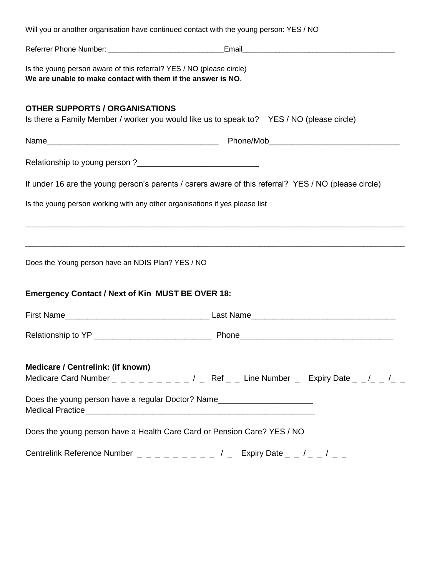| Will you or another organisation have continued contact with the young person: YES / NO                                                                                                                                             |                                                                                                                        |
|-------------------------------------------------------------------------------------------------------------------------------------------------------------------------------------------------------------------------------------|------------------------------------------------------------------------------------------------------------------------|
|                                                                                                                                                                                                                                     |                                                                                                                        |
| Is the young person aware of this referral? YES / NO (please circle)<br>We are unable to make contact with them if the answer is NO.                                                                                                |                                                                                                                        |
| <b>OTHER SUPPORTS / ORGANISATIONS</b><br>Is there a Family Member / worker you would like us to speak to? YES / NO (please circle)                                                                                                  |                                                                                                                        |
|                                                                                                                                                                                                                                     |                                                                                                                        |
|                                                                                                                                                                                                                                     |                                                                                                                        |
| If under 16 are the young person's parents / carers aware of this referral? YES / NO (please circle)                                                                                                                                |                                                                                                                        |
| Is the young person working with any other organisations if yes please list                                                                                                                                                         |                                                                                                                        |
| Does the Young person have an NDIS Plan? YES / NO                                                                                                                                                                                   | <u> 1989 - Andrea Station Barbara, actor a component de la componentación de la componentación de la componentació</u> |
| <b>Emergency Contact / Next of Kin MUST BE OVER 18:</b>                                                                                                                                                                             |                                                                                                                        |
| First Name <b>Example 2018</b> Last Name Last Name Last Name Last Name Last Name Last Name Last Name Last Name Last Name Last Name Last Name Last Name Last Name Last Name Last Name Last Name Last Name Last Name Last Name Last N |                                                                                                                        |
|                                                                                                                                                                                                                                     |                                                                                                                        |
| Medicare / Centrelink: (if known)                                                                                                                                                                                                   |                                                                                                                        |
| Does the young person have a regular Doctor? Name_______________________________                                                                                                                                                    |                                                                                                                        |
| Does the young person have a Health Care Card or Pension Care? YES / NO                                                                                                                                                             |                                                                                                                        |
| Centrelink Reference Number $\Box$ $\Box$ $\Box$ $\Box$ $\Box$ $\Box$ $\Box$ $\bot$ $\Box$ $\bot$ $\Box$ $\bot$ $\bot$                                                                                                              |                                                                                                                        |